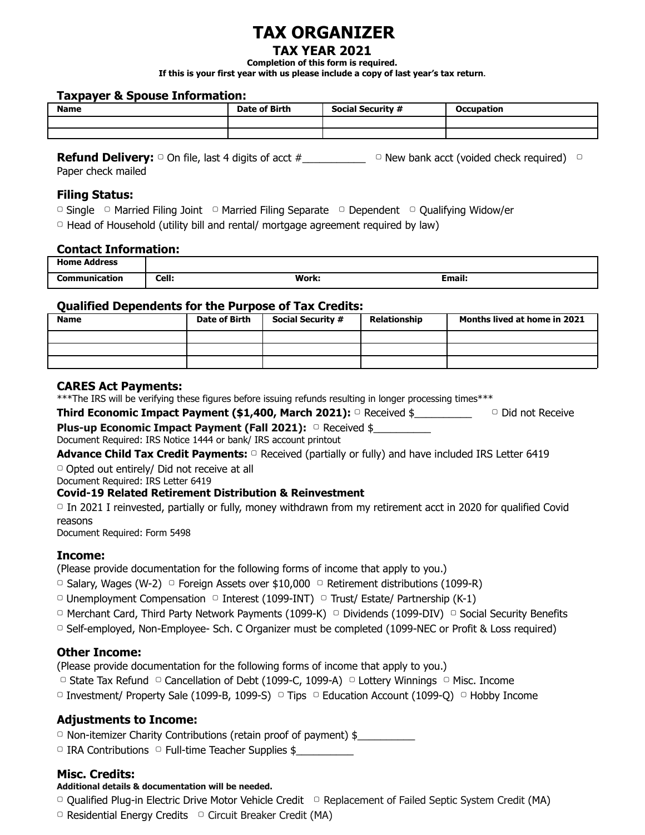# **TAX ORGANIZER**

## **TAX YEAR 2021**

**Completion of this form is required.**

**If this is your first year with us please include a copy of last year's tax return.**

#### **Taxpayer & Spouse Information:**

| <b>Name</b> | <b>Date of Birth</b> | <b>Social Security #</b> | <b>Occupation</b> |
|-------------|----------------------|--------------------------|-------------------|
|             |                      |                          |                   |
|             |                      |                          |                   |

**Refund Delivery:** □ On file, last 4 digits of acct #\_\_\_\_\_\_\_\_\_\_\_\_\_\_\_\_\_\_ □ New bank acct (voided check required) □ Paper check mailed

### **Filing Status:**

- ▢ Single ▢ Married Filing Joint ▢ Married Filing Separate ▢ Dependent ▢ Qualifying Widow/er
- $\circ$  Head of Household (utility bill and rental/ mortgage agreement required by law)

#### **Contact Information:**

| Home $\prime$<br>Address<br>. |       |       |              |
|-------------------------------|-------|-------|--------------|
| Communication<br>.            | Cell: | Work: | --<br>Email: |

#### **Qualified Dependents for the Purpose of Tax Credits:**

| <b>Name</b> | Date of Birth | <b>Social Security #</b> | Relationship | Months lived at home in 2021 |
|-------------|---------------|--------------------------|--------------|------------------------------|
|             |               |                          |              |                              |
|             |               |                          |              |                              |
|             |               |                          |              |                              |

#### **CARES Act Payments:**

\*\*\*The IRS will be verifying these figures before issuing refunds resulting in longer processing times\*\*\*

**Third Economic Impact Payment (\$1,400, March 2021):** ▢ Received \$\_\_\_\_\_\_\_\_\_\_ ▢ Did not Receive

| <b>Plus-up Economic Impact Payment (Fall 2021):</b> □ Received \$ |  |
|-------------------------------------------------------------------|--|
| Document Required: IRS Notice 1444 or bank/ IRS account printout  |  |

**Advance Child Tax Credit Payments:** ▢ Received (partially or fully) and have included IRS Letter 6419

▢ Opted out entirely/ Did not receive at all

Document Required: IRS Letter 6419

#### **Covid-19 Related Retirement Distribution & Reinvestment**

▢ In 2021 I reinvested, partially or fully, money withdrawn from my retirement acct in 2020 for qualified Covid reasons

Document Required: Form 5498

# **Income:**

(Please provide documentation for the following forms of income that apply to you.)

□ Salary, Wages (W-2) □ Foreign Assets over  $$10,000$  □ Retirement distributions (1099-R)

- $\Box$  Unemployment Compensation  $\Box$  Interest (1099-INT)  $\Box$  Trust/ Estate/ Partnership (K-1)
- ▢ Merchant Card, Third Party Network Payments (1099-K) ▢ Dividends (1099-DIV) ▢ Social Security Benefits
- ▢ Self-employed, Non-Employee- Sch. C Organizer must be completed (1099-NEC or Profit & Loss required)

# **Other Income:**

(Please provide documentation for the following forms of income that apply to you.)

- ▢ State Tax Refund ▢ Cancellation of Debt (1099-C, 1099-A) ▢ Lottery Winnings ▢ Misc. Income
- $□$  Investment/ Property Sale (1099-B, 1099-S)  $□$  Tips  $□$  Education Account (1099-Q)  $□$  Hobby Income

# **Adjustments to Income:**

- □ Non-itemizer Charity Contributions (retain proof of payment) \$
- $\Box$  IRA Contributions  $\Box$  Full-time Teacher Supplies \$

# **Misc. Credits:**

#### **Additional details & documentation will be needed.**

- ▢ Qualified Plug-in Electric Drive Motor Vehicle Credit ▢ Replacement of Failed Septic System Credit (MA)
- ▢ Residential Energy Credits ▢ Circuit Breaker Credit (MA)